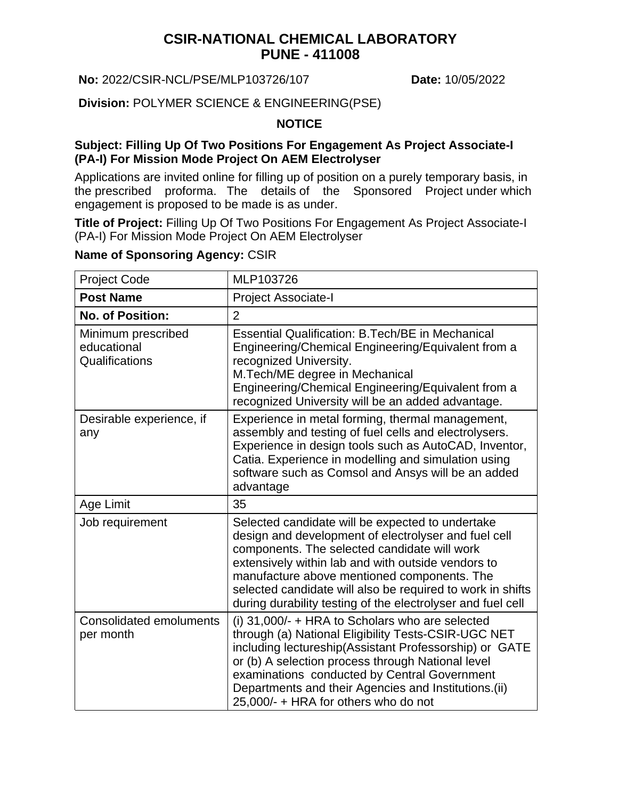# **CSIR-NATIONAL CHEMICAL LABORATORY PUNE - 411008**

#### **No:** 2022/CSIR-NCL/PSE/MLP103726/107 **Date:** 10/05/2022

**Division:** POLYMER SCIENCE & ENGINEERING(PSE)

#### **NOTICE**

#### **Subject: Filling Up Of Two Positions For Engagement As Project Associate-I (PA-I) For Mission Mode Project On AEM Electrolyser**

Applications are invited online for filling up of position on a purely temporary basis, in the prescribed proforma. The details of the Sponsored Project under which engagement is proposed to be made is as under.

**Title of Project:** Filling Up Of Two Positions For Engagement As Project Associate-I (PA-I) For Mission Mode Project On AEM Electrolyser

### **Name of Sponsoring Agency:** CSIR

| <b>Project Code</b>                                 | MLP103726                                                                                                                                                                                                                                                                                                                                                                                  |
|-----------------------------------------------------|--------------------------------------------------------------------------------------------------------------------------------------------------------------------------------------------------------------------------------------------------------------------------------------------------------------------------------------------------------------------------------------------|
| <b>Post Name</b>                                    | <b>Project Associate-I</b>                                                                                                                                                                                                                                                                                                                                                                 |
| <b>No. of Position:</b>                             | $\overline{2}$                                                                                                                                                                                                                                                                                                                                                                             |
| Minimum prescribed<br>educational<br>Qualifications | <b>Essential Qualification: B.Tech/BE in Mechanical</b><br>Engineering/Chemical Engineering/Equivalent from a<br>recognized University.<br>M.Tech/ME degree in Mechanical<br>Engineering/Chemical Engineering/Equivalent from a<br>recognized University will be an added advantage.                                                                                                       |
| Desirable experience, if<br>any                     | Experience in metal forming, thermal management,<br>assembly and testing of fuel cells and electrolysers.<br>Experience in design tools such as AutoCAD, Inventor,<br>Catia. Experience in modelling and simulation using<br>software such as Comsol and Ansys will be an added<br>advantage                                                                                               |
| Age Limit                                           | 35                                                                                                                                                                                                                                                                                                                                                                                         |
| Job requirement                                     | Selected candidate will be expected to undertake<br>design and development of electrolyser and fuel cell<br>components. The selected candidate will work<br>extensively within lab and with outside vendors to<br>manufacture above mentioned components. The<br>selected candidate will also be required to work in shifts<br>during durability testing of the electrolyser and fuel cell |
| <b>Consolidated emoluments</b><br>per month         | (i) 31,000/- + HRA to Scholars who are selected<br>through (a) National Eligibility Tests-CSIR-UGC NET<br>including lectureship(Assistant Professorship) or GATE<br>or (b) A selection process through National level<br>examinations conducted by Central Government<br>Departments and their Agencies and Institutions.(ii)<br>25,000/- + HRA for others who do not                      |